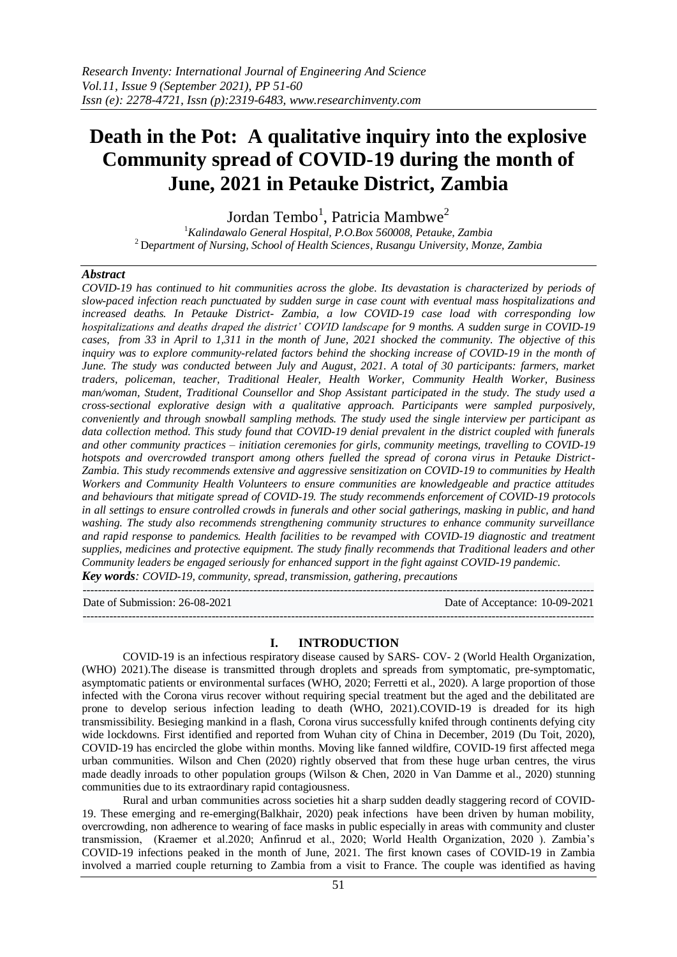# **Death in the Pot: A qualitative inquiry into the explosive Community spread of COVID-19 during the month of June, 2021 in Petauke District, Zambia**

Jordan Tembo $^1$ , Patricia Mambwe $^2$ 

<sup>1</sup>*Kalindawalo General Hospital, P.O.Box 560008, Petauke, Zambia* <sup>2</sup>De*partment of Nursing, School of Health Sciences, Rusangu University, Monze, Zambia*

#### *Abstract*

*COVID-19 has continued to hit communities across the globe. Its devastation is characterized by periods of slow-paced infection reach punctuated by sudden surge in case count with eventual mass hospitalizations and increased deaths. In Petauke District- Zambia, a low COVID-19 case load with corresponding low hospitalizations and deaths draped the district' COVID landscape for 9 months. A sudden surge in COVID-19 cases, from 33 in April to 1,311 in the month of June, 2021 shocked the community. The objective of this inquiry was to explore community-related factors behind the shocking increase of COVID-19 in the month of June. The study was conducted between July and August, 2021. A total of 30 participants: farmers, market traders, policeman, teacher, Traditional Healer, Health Worker, Community Health Worker, Business man/woman, Student, Traditional Counsellor and Shop Assistant participated in the study. The study used a cross-sectional explorative design with a qualitative approach. Participants were sampled purposively, conveniently and through snowball sampling methods. The study used the single interview per participant as data collection method. This study found that COVID-19 denial prevalent in the district coupled with funerals and other community practices – initiation ceremonies for girls, community meetings, travelling to COVID-19 hotspots and overcrowded transport among others fuelled the spread of corona virus in Petauke District-Zambia. This study recommends extensive and aggressive sensitization on COVID-19 to communities by Health Workers and Community Health Volunteers to ensure communities are knowledgeable and practice attitudes and behaviours that mitigate spread of COVID-19. The study recommends enforcement of COVID-19 protocols in all settings to ensure controlled crowds in funerals and other social gatherings, masking in public, and hand washing. The study also recommends strengthening community structures to enhance community surveillance and rapid response to pandemics. Health facilities to be revamped with COVID-19 diagnostic and treatment supplies, medicines and protective equipment. The study finally recommends that Traditional leaders and other Community leaders be engaged seriously for enhanced support in the fight against COVID-19 pandemic.*

*Key words: COVID-19, community, spread, transmission, gathering, precautions* ---------------------------------------------------------------------------------------------------------------------------------------

Date of Submission: 26-08-2021 Date of Acceptance: 10-09-2021 ---------------------------------------------------------------------------------------------------------------------------------------

#### **I. INTRODUCTION**

COVID-19 is an infectious respiratory disease caused by SARS- COV- 2 (World Health Organization, (WHO) 2021).The disease is transmitted through droplets and spreads from symptomatic, pre-symptomatic, asymptomatic patients or environmental surfaces (WHO, 2020; Ferretti et al., 2020). A large proportion of those infected with the Corona virus recover without requiring special treatment but the aged and the debilitated are prone to develop serious infection leading to death (WHO, 2021).COVID-19 is dreaded for its high transmissibility. Besieging mankind in a flash, Corona virus successfully knifed through continents defying city wide lockdowns. First identified and reported from Wuhan city of China in December, 2019 (Du Toit, 2020), COVID-19 has encircled the globe within months. Moving like fanned wildfire, COVID-19 first affected mega urban communities. Wilson and Chen (2020) rightly observed that from these huge urban centres, the virus made deadly inroads to other population groups (Wilson & Chen, 2020 in Van Damme et al., 2020) stunning communities due to its extraordinary rapid contagiousness.

Rural and urban communities across societies hit a sharp sudden deadly staggering record of COVID-19. These emerging and re-emerging(Balkhair, 2020) peak infections have been driven by human mobility, overcrowding, non adherence to wearing of face masks in public especially in areas with community and cluster transmission, (Kraemer et al.2020; Anfinrud et al., 2020; World Health Organization, 2020 ). Zambia's COVID-19 infections peaked in the month of June, 2021. The first known cases of COVID-19 in Zambia involved a married couple returning to Zambia from a visit to France. The couple was identified as having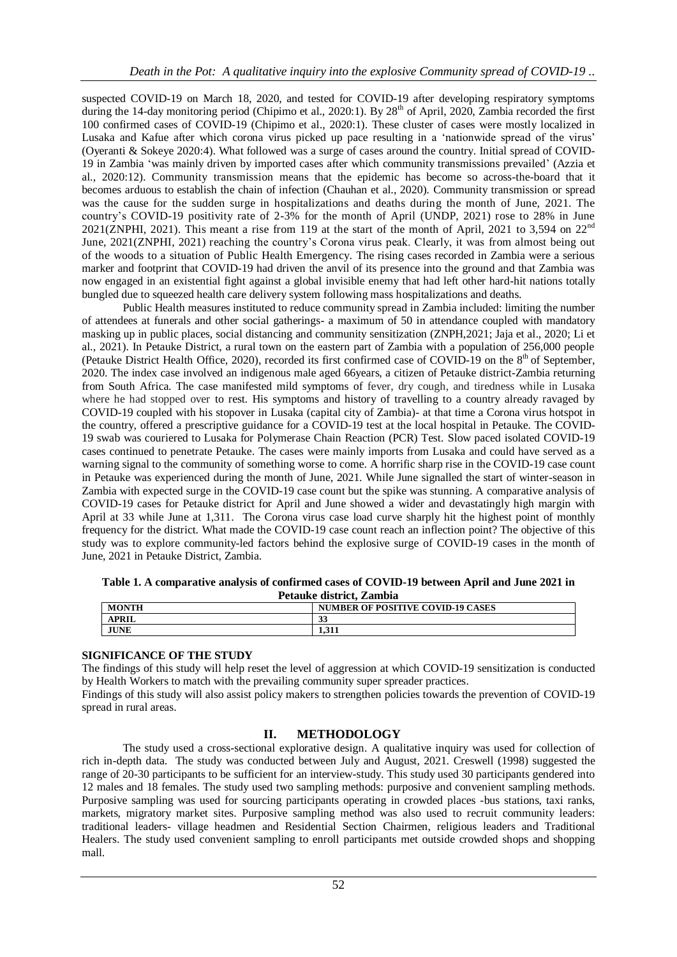suspected COVID-19 on March 18, 2020, and tested for COVID-19 after developing respiratory symptoms during the 14-day monitoring period (Chipimo et al., 2020:1). By 28<sup>th</sup> of April, 2020, Zambia recorded the first 100 confirmed cases of COVID-19 (Chipimo et al., 2020:1). These cluster of cases were mostly localized in Lusaka and Kafue after which corona virus picked up pace resulting in a 'nationwide spread of the virus' (Oyeranti & Sokeye 2020:4). What followed was a surge of cases around the country. Initial spread of COVID-19 in Zambia 'was mainly driven by imported cases after which community transmissions prevailed' (Azzia et al., 2020:12). Community transmission means that the epidemic has become so across-the-board that it becomes arduous to establish the chain of infection (Chauhan et al., 2020). Community transmission or spread was the cause for the sudden surge in hospitalizations and deaths during the month of June, 2021. The country's COVID-19 positivity rate of 2-3% for the month of April (UNDP, 2021) rose to 28% in June 2021(ZNPHI, 2021). This meant a rise from 119 at the start of the month of April, 2021 to 3,594 on 22nd June, 2021(ZNPHI, 2021) reaching the country's Corona virus peak. Clearly, it was from almost being out of the woods to a situation of Public Health Emergency. The rising cases recorded in Zambia were a serious marker and footprint that COVID-19 had driven the anvil of its presence into the ground and that Zambia was now engaged in an existential fight against a global invisible enemy that had left other hard-hit nations totally bungled due to squeezed health care delivery system following mass hospitalizations and deaths.

Public Health measures instituted to reduce community spread in Zambia included: limiting the number of attendees at funerals and other social gatherings- a maximum of 50 in attendance coupled with mandatory masking up in public places, social distancing and community sensitization (ZNPH,2021; Jaja et al., 2020; Li et al., 2021). In Petauke District, a rural town on the eastern part of Zambia with a population of 256,000 people (Petauke District Health Office, 2020), recorded its first confirmed case of COVID-19 on the 8<sup>th</sup> of September, 2020. The index case involved an indigenous male aged 66years, a citizen of Petauke district-Zambia returning from South Africa. The case manifested mild symptoms of fever, dry cough, and tiredness while in Lusaka where he had stopped over to rest. His symptoms and history of travelling to a country already ravaged by COVID-19 coupled with his stopover in Lusaka (capital city of Zambia)- at that time a Corona virus hotspot in the country, offered a prescriptive guidance for a COVID-19 test at the local hospital in Petauke. The COVID-19 swab was couriered to Lusaka for Polymerase Chain Reaction (PCR) Test. Slow paced isolated COVID-19 cases continued to penetrate Petauke. The cases were mainly imports from Lusaka and could have served as a warning signal to the community of something worse to come. A horrific sharp rise in the COVID-19 case count in Petauke was experienced during the month of June, 2021. While June signalled the start of winter-season in Zambia with expected surge in the COVID-19 case count but the spike was stunning. A comparative analysis of COVID-19 cases for Petauke district for April and June showed a wider and devastatingly high margin with April at 33 while June at 1,311. The Corona virus case load curve sharply hit the highest point of monthly frequency for the district. What made the COVID-19 case count reach an inflection point? The objective of this study was to explore community-led factors behind the explosive surge of COVID-19 cases in the month of June, 2021 in Petauke District, Zambia.

|                          | Table 1. A comparative analysis of confirmed cases of COVID-19 between April and June 2021 in |
|--------------------------|-----------------------------------------------------------------------------------------------|
| Petauke district. Zambia |                                                                                               |

| <b>MONTH</b> | NUMBER OF POSITIVE COVID-19 CASES |
|--------------|-----------------------------------|
| APRIL        | JJ.                               |
| <b>JUNE</b>  | 1.311                             |

# **SIGNIFICANCE OF THE STUDY**

The findings of this study will help reset the level of aggression at which COVID-19 sensitization is conducted by Health Workers to match with the prevailing community super spreader practices.

Findings of this study will also assist policy makers to strengthen policies towards the prevention of COVID-19 spread in rural areas.

# **II. METHODOLOGY**

The study used a cross-sectional explorative design. A qualitative inquiry was used for collection of rich in-depth data. The study was conducted between July and August, 2021. Creswell (1998) suggested the range of 20-30 participants to be sufficient for an interview-study. This study used 30 participants gendered into 12 males and 18 females. The study used two sampling methods: purposive and convenient sampling methods. Purposive sampling was used for sourcing participants operating in crowded places -bus stations, taxi ranks, markets, migratory market sites. Purposive sampling method was also used to recruit community leaders: traditional leaders- village headmen and Residential Section Chairmen, religious leaders and Traditional Healers. The study used convenient sampling to enroll participants met outside crowded shops and shopping mall.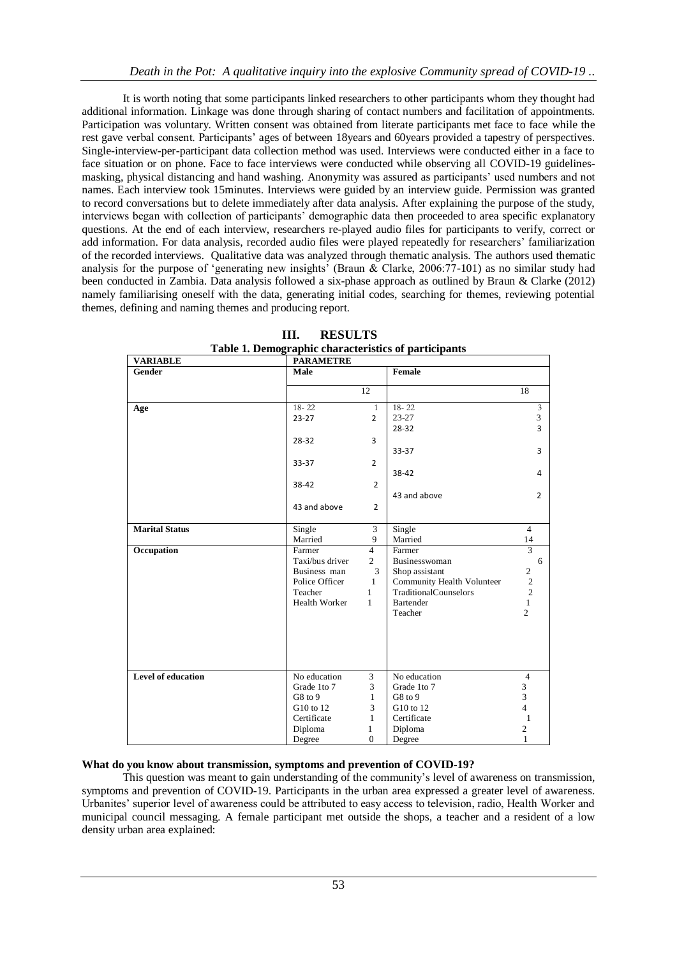It is worth noting that some participants linked researchers to other participants whom they thought had additional information. Linkage was done through sharing of contact numbers and facilitation of appointments. Participation was voluntary. Written consent was obtained from literate participants met face to face while the rest gave verbal consent. Participants' ages of between 18years and 60years provided a tapestry of perspectives. Single-interview-per-participant data collection method was used. Interviews were conducted either in a face to face situation or on phone. Face to face interviews were conducted while observing all COVID-19 guidelinesmasking, physical distancing and hand washing. Anonymity was assured as participants' used numbers and not names. Each interview took 15minutes. Interviews were guided by an interview guide. Permission was granted to record conversations but to delete immediately after data analysis. After explaining the purpose of the study, interviews began with collection of participants' demographic data then proceeded to area specific explanatory questions. At the end of each interview, researchers re-played audio files for participants to verify, correct or add information. For data analysis, recorded audio files were played repeatedly for researchers' familiarization of the recorded interviews. Qualitative data was analyzed through thematic analysis. The authors used thematic analysis for the purpose of 'generating new insights' (Braun & Clarke, 2006:77-101) as no similar study had been conducted in Zambia. Data analysis followed a six-phase approach as outlined by Braun & Clarke (2012) namely familiarising oneself with the data, generating initial codes, searching for themes, reviewing potential themes, defining and naming themes and producing report.

| raoic 1. Demographic enaracteristics or participants<br><b>VARIABLE</b><br><b>PARAMETRE</b> |                      |                |                            |                |  |
|---------------------------------------------------------------------------------------------|----------------------|----------------|----------------------------|----------------|--|
| Gender                                                                                      | Male                 |                | Female                     |                |  |
|                                                                                             |                      | 12             |                            | 18             |  |
|                                                                                             |                      |                |                            |                |  |
| Age                                                                                         | $18 - 22$            | $\mathbf{1}$   | $18 - 22$                  | $\overline{3}$ |  |
|                                                                                             | $23 - 27$            | $\overline{2}$ | 23-27                      | 3              |  |
|                                                                                             |                      |                | 28-32                      | 3              |  |
|                                                                                             | 28-32                | 3              |                            |                |  |
|                                                                                             |                      |                | 33-37                      | 3              |  |
|                                                                                             | 33-37                | $\overline{2}$ |                            |                |  |
|                                                                                             |                      |                | 38-42                      | 4              |  |
|                                                                                             | 38-42                | $\overline{2}$ |                            |                |  |
|                                                                                             |                      |                | 43 and above               | $\overline{2}$ |  |
|                                                                                             | 43 and above         | $\overline{2}$ |                            |                |  |
|                                                                                             |                      |                |                            |                |  |
| <b>Marital Status</b>                                                                       | Single               | $\overline{3}$ | Single                     | $\overline{4}$ |  |
|                                                                                             | Married              | 9              | Married                    | 14             |  |
| <b>Occupation</b>                                                                           | Farmer               | $\overline{4}$ | Farmer                     | $\overline{3}$ |  |
|                                                                                             | Taxi/bus driver      | $\overline{2}$ | Businesswoman              | 6              |  |
|                                                                                             | Business man         | 3              | Shop assistant             | $\overline{c}$ |  |
|                                                                                             | Police Officer       | $\mathbf{1}$   | Community Health Volunteer | $\overline{c}$ |  |
|                                                                                             | Teacher              | $\mathbf{1}$   | TraditionalCounselors      | $\overline{c}$ |  |
|                                                                                             | <b>Health Worker</b> | $\mathbf{1}$   | Bartender                  | $\mathbf{1}$   |  |
|                                                                                             |                      |                | Teacher                    | $\overline{2}$ |  |
|                                                                                             |                      |                |                            |                |  |
|                                                                                             |                      |                |                            |                |  |
|                                                                                             |                      |                |                            |                |  |
|                                                                                             |                      |                |                            |                |  |
|                                                                                             |                      |                |                            |                |  |
| Level of education                                                                          | No education         | 3              | No education               | $\overline{4}$ |  |
|                                                                                             | Grade 1to 7          | 3              | Grade 1to 7                | 3              |  |
|                                                                                             | G8 to 9              | $\mathbf{1}$   | G8 to 9                    | 3              |  |
|                                                                                             | G10 to 12            | 3              | G10 to 12                  | $\overline{4}$ |  |
|                                                                                             | Certificate          | $\mathbf{1}$   | Certificate                | $\mathbf{1}$   |  |
|                                                                                             | Diploma              | $\mathbf{1}$   | Diploma                    | $\overline{c}$ |  |
|                                                                                             | Degree               | $\mathbf{0}$   | Degree                     | $\mathbf{1}$   |  |

**III. RESULTS Table 1. Demographic characteristics of participants**

# **What do you know about transmission, symptoms and prevention of COVID-19?**

This question was meant to gain understanding of the community's level of awareness on transmission, symptoms and prevention of COVID-19. Participants in the urban area expressed a greater level of awareness. Urbanites' superior level of awareness could be attributed to easy access to television, radio, Health Worker and municipal council messaging. A female participant met outside the shops, a teacher and a resident of a low density urban area explained: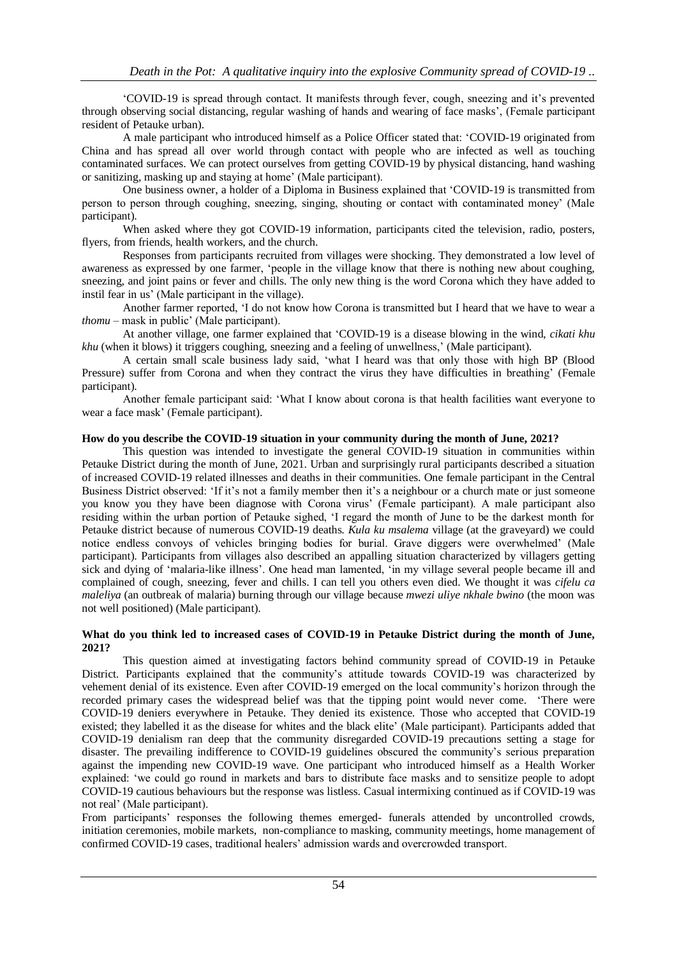'COVID-19 is spread through contact. It manifests through fever, cough, sneezing and it's prevented through observing social distancing, regular washing of hands and wearing of face masks', (Female participant resident of Petauke urban).

A male participant who introduced himself as a Police Officer stated that: 'COVID-19 originated from China and has spread all over world through contact with people who are infected as well as touching contaminated surfaces. We can protect ourselves from getting COVID-19 by physical distancing, hand washing or sanitizing, masking up and staying at home' (Male participant).

One business owner, a holder of a Diploma in Business explained that 'COVID-19 is transmitted from person to person through coughing, sneezing, singing, shouting or contact with contaminated money' (Male participant).

When asked where they got COVID-19 information, participants cited the television, radio, posters, flyers, from friends, health workers, and the church.

Responses from participants recruited from villages were shocking. They demonstrated a low level of awareness as expressed by one farmer, 'people in the village know that there is nothing new about coughing, sneezing, and joint pains or fever and chills. The only new thing is the word Corona which they have added to instil fear in us' (Male participant in the village).

Another farmer reported, 'I do not know how Corona is transmitted but I heard that we have to wear a *thomu* – mask in public' (Male participant).

At another village, one farmer explained that 'COVID-19 is a disease blowing in the wind, *cikati khu khu* (when it blows) it triggers coughing, sneezing and a feeling of unwellness,' (Male participant).

A certain small scale business lady said, 'what I heard was that only those with high BP (Blood Pressure) suffer from Corona and when they contract the virus they have difficulties in breathing' (Female participant).

Another female participant said: 'What I know about corona is that health facilities want everyone to wear a face mask' (Female participant).

#### **How do you describe the COVID-19 situation in your community during the month of June, 2021?**

This question was intended to investigate the general COVID-19 situation in communities within Petauke District during the month of June, 2021. Urban and surprisingly rural participants described a situation of increased COVID-19 related illnesses and deaths in their communities. One female participant in the Central Business District observed: 'If it's not a family member then it's a neighbour or a church mate or just someone you know you they have been diagnose with Corona virus' (Female participant). A male participant also residing within the urban portion of Petauke sighed, 'I regard the month of June to be the darkest month for Petauke district because of numerous COVID-19 deaths. *Kula ku msalema* village (at the graveyard) we could notice endless convoys of vehicles bringing bodies for burial. Grave diggers were overwhelmed' (Male participant). Participants from villages also described an appalling situation characterized by villagers getting sick and dying of 'malaria-like illness'. One head man lamented, 'in my village several people became ill and complained of cough, sneezing, fever and chills. I can tell you others even died. We thought it was *cifelu ca maleliya* (an outbreak of malaria) burning through our village because *mwezi uliye nkhale bwino* (the moon was not well positioned) (Male participant).

#### **What do you think led to increased cases of COVID-19 in Petauke District during the month of June, 2021?**

This question aimed at investigating factors behind community spread of COVID-19 in Petauke District. Participants explained that the community's attitude towards COVID-19 was characterized by vehement denial of its existence. Even after COVID-19 emerged on the local community's horizon through the recorded primary cases the widespread belief was that the tipping point would never come. 'There were COVID-19 deniers everywhere in Petauke. They denied its existence. Those who accepted that COVID-19 existed; they labelled it as the disease for whites and the black elite' (Male participant). Participants added that COVID-19 denialism ran deep that the community disregarded COVID-19 precautions setting a stage for disaster. The prevailing indifference to COVID-19 guidelines obscured the community's serious preparation against the impending new COVID-19 wave. One participant who introduced himself as a Health Worker explained: 'we could go round in markets and bars to distribute face masks and to sensitize people to adopt COVID-19 cautious behaviours but the response was listless. Casual intermixing continued as if COVID-19 was not real' (Male participant).

From participants' responses the following themes emerged- funerals attended by uncontrolled crowds, initiation ceremonies, mobile markets, non-compliance to masking, community meetings, home management of confirmed COVID-19 cases, traditional healers' admission wards and overcrowded transport.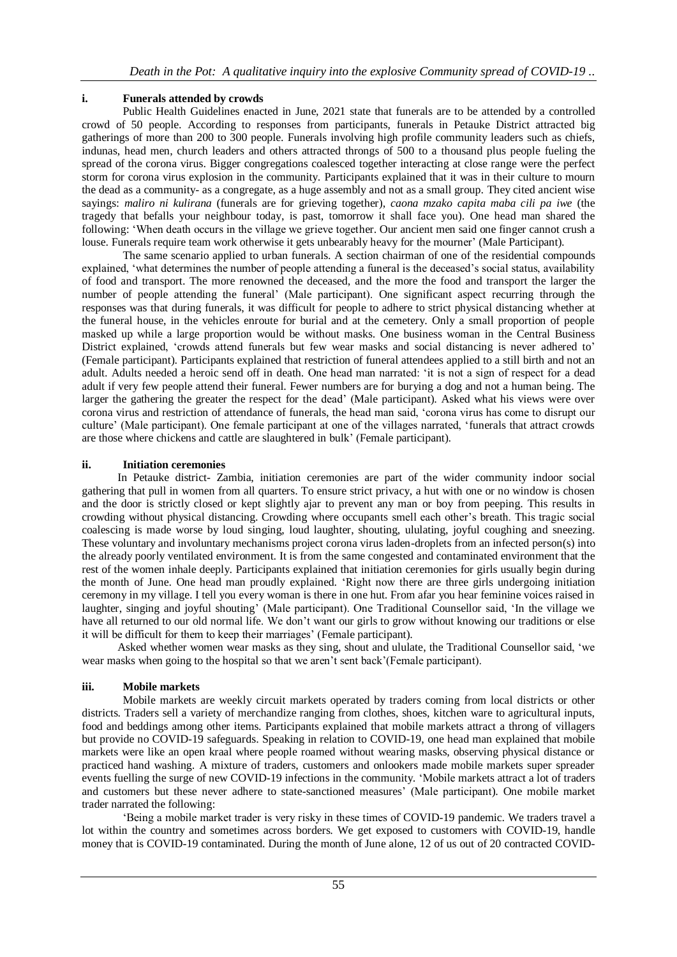# **i. Funerals attended by crowds**

Public Health Guidelines enacted in June, 2021 state that funerals are to be attended by a controlled crowd of 50 people. According to responses from participants, funerals in Petauke District attracted big gatherings of more than 200 to 300 people. Funerals involving high profile community leaders such as chiefs, indunas, head men, church leaders and others attracted throngs of 500 to a thousand plus people fueling the spread of the corona virus. Bigger congregations coalesced together interacting at close range were the perfect storm for corona virus explosion in the community. Participants explained that it was in their culture to mourn the dead as a community- as a congregate, as a huge assembly and not as a small group. They cited ancient wise sayings: *maliro ni kulirana* (funerals are for grieving together), *caona mzako capita maba cili pa iwe* (the tragedy that befalls your neighbour today, is past, tomorrow it shall face you). One head man shared the following: 'When death occurs in the village we grieve together. Our ancient men said one finger cannot crush a louse. Funerals require team work otherwise it gets unbearably heavy for the mourner' (Male Participant).

The same scenario applied to urban funerals. A section chairman of one of the residential compounds explained, 'what determines the number of people attending a funeral is the deceased's social status, availability of food and transport. The more renowned the deceased, and the more the food and transport the larger the number of people attending the funeral' (Male participant). One significant aspect recurring through the responses was that during funerals, it was difficult for people to adhere to strict physical distancing whether at the funeral house, in the vehicles enroute for burial and at the cemetery. Only a small proportion of people masked up while a large proportion would be without masks. One business woman in the Central Business District explained, 'crowds attend funerals but few wear masks and social distancing is never adhered to' (Female participant). Participants explained that restriction of funeral attendees applied to a still birth and not an adult. Adults needed a heroic send off in death. One head man narrated: 'it is not a sign of respect for a dead adult if very few people attend their funeral. Fewer numbers are for burying a dog and not a human being. The larger the gathering the greater the respect for the dead' (Male participant). Asked what his views were over corona virus and restriction of attendance of funerals, the head man said, 'corona virus has come to disrupt our culture' (Male participant). One female participant at one of the villages narrated, 'funerals that attract crowds are those where chickens and cattle are slaughtered in bulk' (Female participant).

## **ii. Initiation ceremonies**

In Petauke district- Zambia, initiation ceremonies are part of the wider community indoor social gathering that pull in women from all quarters. To ensure strict privacy, a hut with one or no window is chosen and the door is strictly closed or kept slightly ajar to prevent any man or boy from peeping. This results in crowding without physical distancing. Crowding where occupants smell each other's breath. This tragic social coalescing is made worse by loud singing, loud laughter, shouting, ululating, joyful coughing and sneezing. These voluntary and involuntary mechanisms project corona virus laden-droplets from an infected person(s) into the already poorly ventilated environment. It is from the same congested and contaminated environment that the rest of the women inhale deeply. Participants explained that initiation ceremonies for girls usually begin during the month of June. One head man proudly explained. 'Right now there are three girls undergoing initiation ceremony in my village. I tell you every woman is there in one hut. From afar you hear feminine voices raised in laughter, singing and joyful shouting' (Male participant). One Traditional Counsellor said, 'In the village we have all returned to our old normal life. We don't want our girls to grow without knowing our traditions or else it will be difficult for them to keep their marriages' (Female participant).

Asked whether women wear masks as they sing, shout and ululate, the Traditional Counsellor said, 'we wear masks when going to the hospital so that we aren't sent back'(Female participant).

# **iii. Mobile markets**

Mobile markets are weekly circuit markets operated by traders coming from local districts or other districts. Traders sell a variety of merchandize ranging from clothes, shoes, kitchen ware to agricultural inputs, food and beddings among other items. Participants explained that mobile markets attract a throng of villagers but provide no COVID-19 safeguards. Speaking in relation to COVID-19, one head man explained that mobile markets were like an open kraal where people roamed without wearing masks, observing physical distance or practiced hand washing. A mixture of traders, customers and onlookers made mobile markets super spreader events fuelling the surge of new COVID-19 infections in the community. 'Mobile markets attract a lot of traders and customers but these never adhere to state-sanctioned measures' (Male participant). One mobile market trader narrated the following:

'Being a mobile market trader is very risky in these times of COVID-19 pandemic. We traders travel a lot within the country and sometimes across borders. We get exposed to customers with COVID-19, handle money that is COVID-19 contaminated. During the month of June alone, 12 of us out of 20 contracted COVID-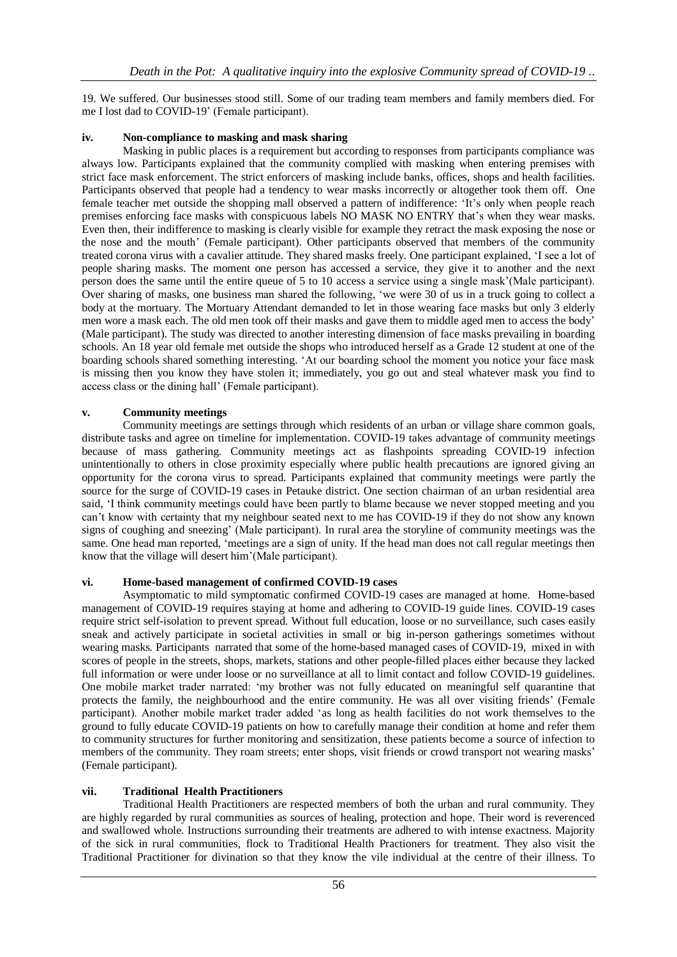19. We suffered. Our businesses stood still. Some of our trading team members and family members died. For me I lost dad to COVID-19' (Female participant).

## **iv. Non-compliance to masking and mask sharing**

Masking in public places is a requirement but according to responses from participants compliance was always low. Participants explained that the community complied with masking when entering premises with strict face mask enforcement. The strict enforcers of masking include banks, offices, shops and health facilities. Participants observed that people had a tendency to wear masks incorrectly or altogether took them off. One female teacher met outside the shopping mall observed a pattern of indifference: 'It's only when people reach premises enforcing face masks with conspicuous labels NO MASK NO ENTRY that's when they wear masks. Even then, their indifference to masking is clearly visible for example they retract the mask exposing the nose or the nose and the mouth' (Female participant). Other participants observed that members of the community treated corona virus with a cavalier attitude. They shared masks freely. One participant explained, 'I see a lot of people sharing masks. The moment one person has accessed a service, they give it to another and the next person does the same until the entire queue of 5 to 10 access a service using a single mask'(Male participant). Over sharing of masks, one business man shared the following, 'we were 30 of us in a truck going to collect a body at the mortuary. The Mortuary Attendant demanded to let in those wearing face masks but only 3 elderly men wore a mask each. The old men took off their masks and gave them to middle aged men to access the body' (Male participant). The study was directed to another interesting dimension of face masks prevailing in boarding schools. An 18 year old female met outside the shops who introduced herself as a Grade 12 student at one of the boarding schools shared something interesting. 'At our boarding school the moment you notice your face mask is missing then you know they have stolen it; immediately, you go out and steal whatever mask you find to access class or the dining hall' (Female participant).

## **v. Community meetings**

Community meetings are settings through which residents of an urban or village share common goals, distribute tasks and agree on timeline for implementation. COVID-19 takes advantage of community meetings because of mass gathering. Community meetings act as flashpoints spreading COVID-19 infection unintentionally to others in close proximity especially where public health precautions are ignored giving an opportunity for the corona virus to spread. Participants explained that community meetings were partly the source for the surge of COVID-19 cases in Petauke district. One section chairman of an urban residential area said, 'I think community meetings could have been partly to blame because we never stopped meeting and you can't know with certainty that my neighbour seated next to me has COVID-19 if they do not show any known signs of coughing and sneezing' (Male participant). In rural area the storyline of community meetings was the same. One head man reported, 'meetings are a sign of unity. If the head man does not call regular meetings then know that the village will desert him'(Male participant).

#### **vi. Home-based management of confirmed COVID-19 cases**

Asymptomatic to mild symptomatic confirmed COVID-19 cases are managed at home. Home-based management of COVID-19 requires staying at home and adhering to COVID-19 guide lines. COVID-19 cases require strict self-isolation to prevent spread. Without full education, loose or no surveillance, such cases easily sneak and actively participate in societal activities in small or big in-person gatherings sometimes without wearing masks. Participants narrated that some of the home-based managed cases of COVID-19, mixed in with scores of people in the streets, shops, markets, stations and other people-filled places either because they lacked full information or were under loose or no surveillance at all to limit contact and follow COVID-19 guidelines. One mobile market trader narrated: 'my brother was not fully educated on meaningful self quarantine that protects the family, the neighbourhood and the entire community. He was all over visiting friends' (Female participant). Another mobile market trader added 'as long as health facilities do not work themselves to the ground to fully educate COVID-19 patients on how to carefully manage their condition at home and refer them to community structures for further monitoring and sensitization, these patients become a source of infection to members of the community. They roam streets; enter shops, visit friends or crowd transport not wearing masks' (Female participant).

#### **vii. Traditional Health Practitioners**

Traditional Health Practitioners are respected members of both the urban and rural community. They are highly regarded by rural communities as sources of healing, protection and hope. Their word is reverenced and swallowed whole. Instructions surrounding their treatments are adhered to with intense exactness. Majority of the sick in rural communities, flock to Traditional Health Practioners for treatment. They also visit the Traditional Practitioner for divination so that they know the vile individual at the centre of their illness. To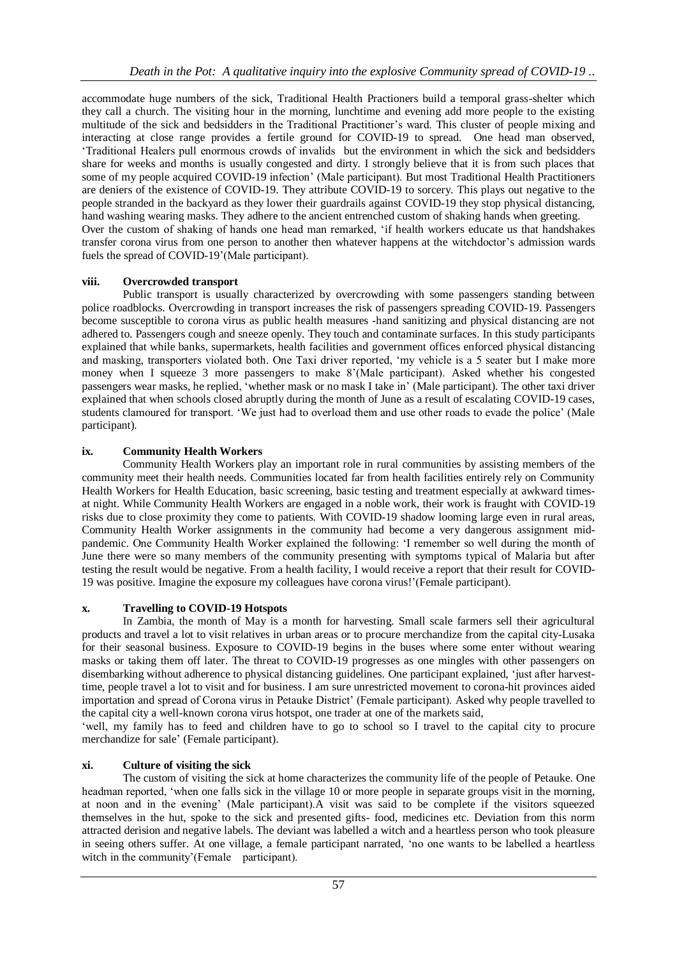accommodate huge numbers of the sick, Traditional Health Practioners build a temporal grass-shelter which they call a church. The visiting hour in the morning, lunchtime and evening add more people to the existing multitude of the sick and bedsidders in the Traditional Practitioner's ward. This cluster of people mixing and interacting at close range provides a fertile ground for COVID-19 to spread. One head man observed, 'Traditional Healers pull enormous crowds of invalids but the environment in which the sick and bedsidders share for weeks and months is usually congested and dirty. I strongly believe that it is from such places that some of my people acquired COVID-19 infection' (Male participant). But most Traditional Health Practitioners are deniers of the existence of COVID-19. They attribute COVID-19 to sorcery. This plays out negative to the people stranded in the backyard as they lower their guardrails against COVID-19 they stop physical distancing, hand washing wearing masks. They adhere to the ancient entrenched custom of shaking hands when greeting. Over the custom of shaking of hands one head man remarked, 'if health workers educate us that handshakes transfer corona virus from one person to another then whatever happens at the witchdoctor's admission wards fuels the spread of COVID-19'(Male participant).

# **viii. Overcrowded transport**

Public transport is usually characterized by overcrowding with some passengers standing between police roadblocks. Overcrowding in transport increases the risk of passengers spreading COVID-19. Passengers become susceptible to corona virus as public health measures -hand sanitizing and physical distancing are not adhered to. Passengers cough and sneeze openly. They touch and contaminate surfaces. In this study participants explained that while banks, supermarkets, health facilities and government offices enforced physical distancing and masking, transporters violated both. One Taxi driver reported, 'my vehicle is a 5 seater but I make more money when I squeeze 3 more passengers to make 8'(Male participant). Asked whether his congested passengers wear masks, he replied, 'whether mask or no mask I take in' (Male participant). The other taxi driver explained that when schools closed abruptly during the month of June as a result of escalating COVID-19 cases, students clamoured for transport. 'We just had to overload them and use other roads to evade the police' (Male participant).

## **ix. Community Health Workers**

Community Health Workers play an important role in rural communities by assisting members of the community meet their health needs. Communities located far from health facilities entirely rely on Community Health Workers for Health Education, basic screening, basic testing and treatment especially at awkward timesat night. While Community Health Workers are engaged in a noble work, their work is fraught with COVID-19 risks due to close proximity they come to patients. With COVID-19 shadow looming large even in rural areas, Community Health Worker assignments in the community had become a very dangerous assignment midpandemic. One Community Health Worker explained the following: 'I remember so well during the month of June there were so many members of the community presenting with symptoms typical of Malaria but after testing the result would be negative. From a health facility, I would receive a report that their result for COVID-19 was positive. Imagine the exposure my colleagues have corona virus!'(Female participant).

#### **x. Travelling to COVID-19 Hotspots**

In Zambia, the month of May is a month for harvesting. Small scale farmers sell their agricultural products and travel a lot to visit relatives in urban areas or to procure merchandize from the capital city-Lusaka for their seasonal business. Exposure to COVID-19 begins in the buses where some enter without wearing masks or taking them off later. The threat to COVID-19 progresses as one mingles with other passengers on disembarking without adherence to physical distancing guidelines. One participant explained, 'just after harvesttime, people travel a lot to visit and for business. I am sure unrestricted movement to corona-hit provinces aided importation and spread of Corona virus in Petauke District' (Female participant). Asked why people travelled to the capital city a well-known corona virus hotspot, one trader at one of the markets said,

'well, my family has to feed and children have to go to school so I travel to the capital city to procure merchandize for sale' (Female participant).

#### **xi. Culture of visiting the sick**

The custom of visiting the sick at home characterizes the community life of the people of Petauke. One headman reported, 'when one falls sick in the village 10 or more people in separate groups visit in the morning, at noon and in the evening' (Male participant).A visit was said to be complete if the visitors squeezed themselves in the hut, spoke to the sick and presented gifts- food, medicines etc. Deviation from this norm attracted derision and negative labels. The deviant was labelled a witch and a heartless person who took pleasure in seeing others suffer. At one village, a female participant narrated, 'no one wants to be labelled a heartless witch in the community'(Female participant).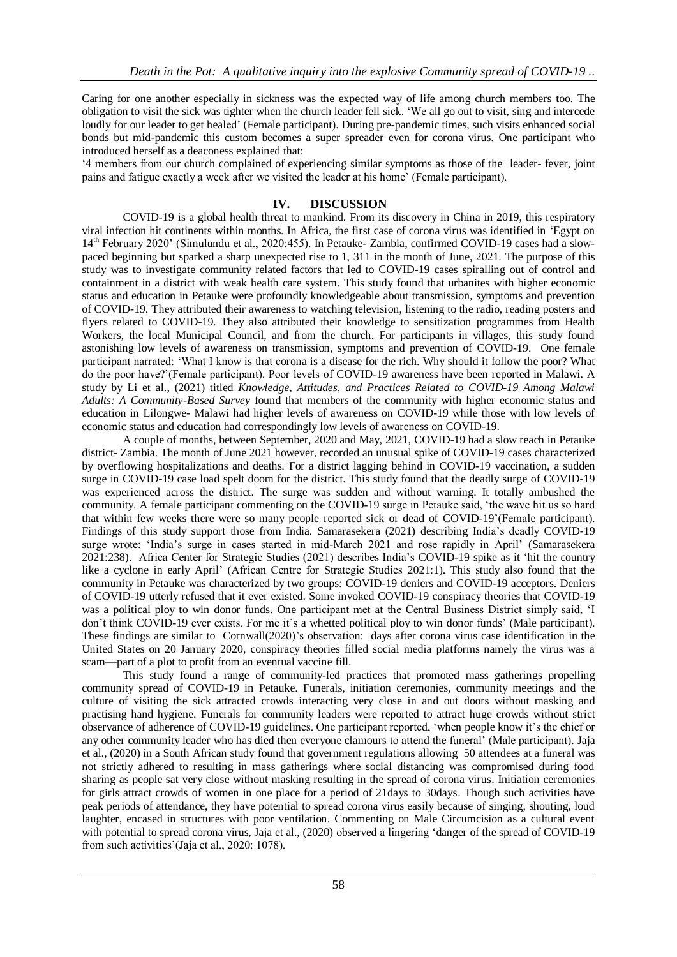Caring for one another especially in sickness was the expected way of life among church members too. The obligation to visit the sick was tighter when the church leader fell sick. 'We all go out to visit, sing and intercede loudly for our leader to get healed' (Female participant). During pre-pandemic times, such visits enhanced social bonds but mid-pandemic this custom becomes a super spreader even for corona virus. One participant who introduced herself as a deaconess explained that:

'4 members from our church complained of experiencing similar symptoms as those of the leader- fever, joint pains and fatigue exactly a week after we visited the leader at his home' (Female participant).

#### **IV. DISCUSSION**

COVID-19 is a global health threat to mankind. From its discovery in China in 2019, this respiratory viral infection hit continents within months. In Africa, the first case of corona virus was identified in 'Egypt on 14th February 2020' (Simulundu et al., 2020:455). In Petauke- Zambia, confirmed COVID-19 cases had a slowpaced beginning but sparked a sharp unexpected rise to 1, 311 in the month of June, 2021. The purpose of this study was to investigate community related factors that led to COVID-19 cases spiralling out of control and containment in a district with weak health care system. This study found that urbanites with higher economic status and education in Petauke were profoundly knowledgeable about transmission, symptoms and prevention of COVID-19. They attributed their awareness to watching television, listening to the radio, reading posters and flyers related to COVID-19. They also attributed their knowledge to sensitization programmes from Health Workers, the local Municipal Council, and from the church. For participants in villages, this study found astonishing low levels of awareness on transmission, symptoms and prevention of COVID-19. One female participant narrated: 'What I know is that corona is a disease for the rich. Why should it follow the poor? What do the poor have?'(Female participant). Poor levels of COVID-19 awareness have been reported in Malawi. A study by Li et al., (2021) titled *Knowledge, Attitudes, and Practices Related to COVID-19 Among Malawi Adults: A Community-Based Survey* found that members of the community with higher economic status and education in Lilongwe- Malawi had higher levels of awareness on COVID-19 while those with low levels of economic status and education had correspondingly low levels of awareness on COVID-19.

A couple of months, between September, 2020 and May, 2021, COVID-19 had a slow reach in Petauke district- Zambia. The month of June 2021 however, recorded an unusual spike of COVID-19 cases characterized by overflowing hospitalizations and deaths. For a district lagging behind in COVID-19 vaccination, a sudden surge in COVID-19 case load spelt doom for the district. This study found that the deadly surge of COVID-19 was experienced across the district. The surge was sudden and without warning. It totally ambushed the community. A female participant commenting on the COVID-19 surge in Petauke said, 'the wave hit us so hard that within few weeks there were so many people reported sick or dead of COVID-19'(Female participant). Findings of this study support those from India. Samarasekera (2021) describing India's deadly COVID-19 surge wrote: 'India's surge in cases started in mid-March 2021 and rose rapidly in April' (Samarasekera 2021:238). Africa Center for Strategic Studies (2021) describes India's COVID-19 spike as it 'hit the country like a cyclone in early April' (African Centre for Strategic Studies 2021:1). This study also found that the community in Petauke was characterized by two groups: COVID-19 deniers and COVID-19 acceptors. Deniers of COVID-19 utterly refused that it ever existed. Some invoked COVID-19 conspiracy theories that COVID-19 was a political ploy to win donor funds. One participant met at the Central Business District simply said, 'I don't think COVID-19 ever exists. For me it's a whetted political ploy to win donor funds' (Male participant). These findings are similar to Cornwall(2020)'s observation: days after corona virus case identification in the United States on 20 January 2020, conspiracy theories filled social media platforms namely the virus was a scam—part of a plot to profit from an eventual vaccine fill.

This study found a range of community-led practices that promoted mass gatherings propelling community spread of COVID-19 in Petauke. Funerals, initiation ceremonies, community meetings and the culture of visiting the sick attracted crowds interacting very close in and out doors without masking and practising hand hygiene. Funerals for community leaders were reported to attract huge crowds without strict observance of adherence of COVID-19 guidelines. One participant reported, 'when people know it's the chief or any other community leader who has died then everyone clamours to attend the funeral' (Male participant). Jaja et al., (2020) in a South African study found that government regulations allowing 50 attendees at a funeral was not strictly adhered to resulting in mass gatherings where social distancing was compromised during food sharing as people sat very close without masking resulting in the spread of corona virus. Initiation ceremonies for girls attract crowds of women in one place for a period of 21days to 30days. Though such activities have peak periods of attendance, they have potential to spread corona virus easily because of singing, shouting, loud laughter, encased in structures with poor ventilation. Commenting on Male Circumcision as a cultural event with potential to spread corona virus, Jaja et al., (2020) observed a lingering 'danger of the spread of COVID-19 from such activities'(Jaja et al., 2020: 1078).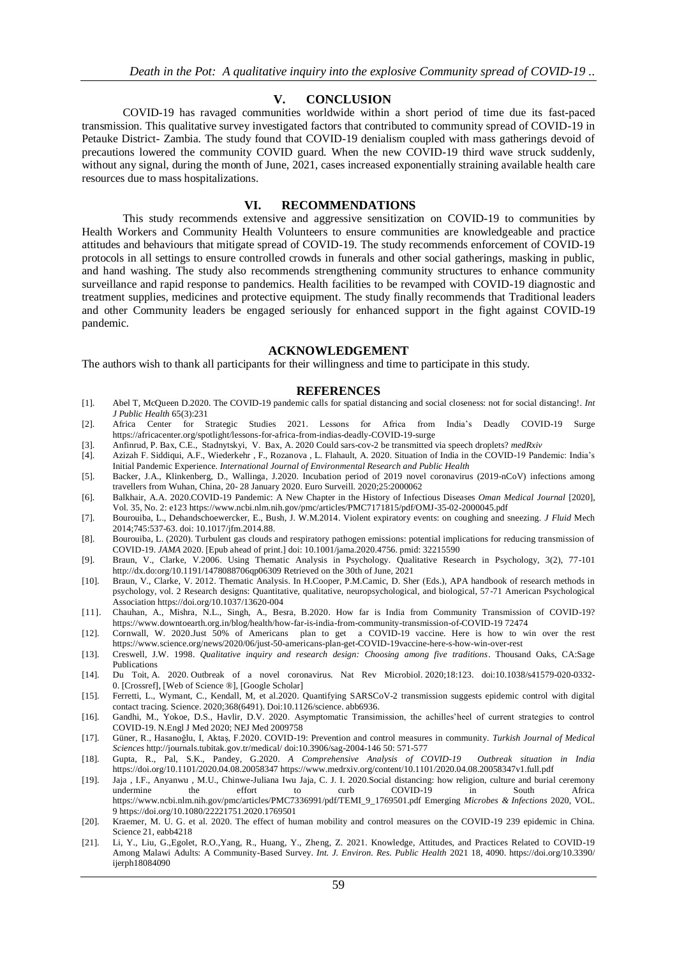#### **V. CONCLUSION**

COVID-19 has ravaged communities worldwide within a short period of time due its fast-paced transmission. This qualitative survey investigated factors that contributed to community spread of COVID-19 in Petauke District- Zambia. The study found that COVID-19 denialism coupled with mass gatherings devoid of precautions lowered the community COVID guard. When the new COVID-19 third wave struck suddenly, without any signal, during the month of June, 2021, cases increased exponentially straining available health care resources due to mass hospitalizations.

#### **VI. RECOMMENDATIONS**

This study recommends extensive and aggressive sensitization on COVID-19 to communities by Health Workers and Community Health Volunteers to ensure communities are knowledgeable and practice attitudes and behaviours that mitigate spread of COVID-19. The study recommends enforcement of COVID-19 protocols in all settings to ensure controlled crowds in funerals and other social gatherings, masking in public, and hand washing. The study also recommends strengthening community structures to enhance community surveillance and rapid response to pandemics. Health facilities to be revamped with COVID-19 diagnostic and treatment supplies, medicines and protective equipment. The study finally recommends that Traditional leaders and other Community leaders be engaged seriously for enhanced support in the fight against COVID-19 pandemic.

#### **ACKNOWLEDGEMENT**

The authors wish to thank all participants for their willingness and time to participate in this study.

#### **REFERENCES**

- [1]. Abel T, McQueen D.2020. The COVID-19 pandemic calls for spatial distancing and social closeness: not for social distancing!. *Int J Public Health* 65(3):231
- [2]. Africa Center for Strategic Studies 2021. Lessons for Africa from India's Deadly COVID-19 Surge <https://africacenter.org/spotlight/lessons-for-africa-from-indias-deadly-COVID-19-surge>
- [3]. Anfinrud, P. Bax, C.E., Stadnytskyi, V. Bax, A. 2020 Could sars-cov-2 be transmitted via speech droplets? *medRxiv*
- [4]. Azizah F. Siddiqui, A.F., Wiederkehr , F., Rozanova , L. Flahault, A. 2020. Situation of India in the COVID-19 Pandemic: India's Initial Pandemic Experience. *International Journal of Environmental Research and Public Health*
- [5]. Backer, J.A., Klinkenberg, D., Wallinga, J.2020. Incubation period of 2019 novel coronavirus (2019-nCoV) infections among travellers from Wuhan, China, 20- 28 January 2020. Euro Surveill. 2020;25:2000062
- [6]. Balkhair, A.A. 2020.COVID-19 Pandemic: A New Chapter in the History of Infectious Diseases *Oman Medical Journal* [2020], Vol. 35, No. 2: e12[3 https://www.ncbi.nlm.nih.gov/pmc/articles/PMC7171815/pdf/OMJ-35-02-2000045.pdf](https://www.ncbi.nlm.nih.gov/pmc/articles/PMC7171815/pdf/OMJ-35-02-2000045.pdf)
- [7]. Bourouiba, L., Dehandschoewercker, E., Bush, J. W.M.2014. Violent expiratory events: on coughing and sneezing. *J Fluid* Mech 2014;745:537-63. doi: 10.1017/jfm.2014.88.
- [8]. Bourouiba, L. (2020). Turbulent gas clouds and respiratory pathogen emissions: potential implications for reducing transmission of COVID-19. *JAMA* 2020. [Epub ahead of print.] doi: 10.1001/jama.2020.4756. pmid: 32215590
- [9]. Braun, V., Clarke, V.2006. Using Thematic Analysis in Psychology. Qualitative Research in Psychology, 3(2), 77-101 <http://dx.do:org/10.1191/1478088706qp06309> Retrieved on the 30th of June, 2021
- [10]. Braun, V., Clarke, V. 2012. Thematic Analysis. In H.Cooper, P.M.Camic, D. Sher (Eds.), APA handbook of research methods in psychology, vol. 2 Research designs: Quantitative, qualitative, neuropsychological, and biological, 57-71 American Psychological Association<https://doi.org/10.1037/13620-004>
- [11]. Chauhan, A., Mishra, N.L., Singh, A., Besra, B.2020. How far is India from Community Transmission of COVID-19? <https://www.downtoearth.org.in/blog/health/how-far-is-india-from-community-transmission-of-COVID-19> 72474
- [12]. Cornwall, W. 2020.Just 50% of Americans plan to get a COVID-19 vaccine. Here is how to win over the rest https://www.science.org/news/2020/06/just-50-americans-plan-get-COVID-19vaccine-here-s-how-win-over-rest
- [13]. Creswell, J.W. 1998. *Qualitative inquiry and research design: Choosing among five traditions*. Thousand Oaks, CA:Sage Publications
- [14]. Du Toit, A. 2020. Outbreak of a novel coronavirus. Nat Rev Microbiol. 2020;18:123. doi[:10.1038/s41579-020-0332-](https://doi.org/10.1038/s41579-020-0332-0) [0.](https://doi.org/10.1038/s41579-020-0332-0) [\[Crossref\],](https://www.tandfonline.com/servlet/linkout?suffix=CIT0005&dbid=16&doi=10.1080%2F22221751.2020.1775132&key=10.1038%2Fs41579-020-0332-0) [\[Web of Science ®\],](https://www.tandfonline.com/servlet/linkout?suffix=CIT0005&dbid=128&doi=10.1080%2F22221751.2020.1775132&key=000514142000002) [\[Google Scholar\]](http://scholar.google.com/scholar_lookup?hl=en&volume=18&publication_year=2020&pages=123&author=A.+Du+Toit&title=Outbreak+of+a+novel+coronavirus)
- [15]. Ferretti, L., Wymant, C., Kendall, M, et al.2020. Quantifying SARSCoV-2 transmission suggests epidemic control with digital contact tracing. Science. 2020;368(6491). Doi:10.1126/science. abb6936.
- [16]. Gandhi, M., Yokoe, D.S., Havlir, D.V. 2020. Asymptomatic Transimission, the achilles'heel of current strategies to control COVID-19. N.Engl J Med 2020; NEJ Med 2009758
- [17]. Güner, R., Hasanoğlu, I, Aktaş, F.2020. COVID-19: Prevention and control measures in community. *Turkish Journal of Medical Sciences* http://journals.tubitak.gov.tr/medical/ doi:10.3906/sag-2004-146 50: 571-577
- [18]. Gupta, R., Pal, S.K., Pandey, G.2020. *A Comprehensive Analysis of COVID-19 Outbreak situation in India*  <https://doi.org/10.1101/2020.04.08.20058347> <https://www.medrxiv.org/content/10.1101/2020.04.08.20058347v1.full.pdf>
- [19]. Jaja , I.F., Anyanwu , M.U., Chinwe-Juliana Iwu Jaja, C. J. I. 2020.Social distancing: how religion, culture and burial ceremony undermine the effort to curb COVID-19 in South Africa [https://www.ncbi.nlm.nih.gov/pmc/articles/PMC7336991/pdf/TEMI\\_9\\_1769501.pdf](https://www.ncbi.nlm.nih.gov/pmc/articles/PMC7336991/pdf/TEMI_9_1769501.pdf) Emerging *Microbes & Infections* 2020, VOL. 9 https://doi.org/10.1080/22221751.2020.1769501
- [20]. Kraemer, M. U. G. et al. 2020. The effect of human mobility and control measures on the COVID-19 239 epidemic in China. Science 21, eabb4218
- [21]. Li, Y., Liu, G.,Egolet, R.O.,Yang, R., Huang, Y., Zheng, Z. 2021. Knowledge, Attitudes, and Practices Related to COVID-19 Among Malawi Adults: A Community-Based Survey. *Int. J. Environ. Res. Public Health* 2021 18, 4090. https://doi.org/10.3390/ ijerph18084090